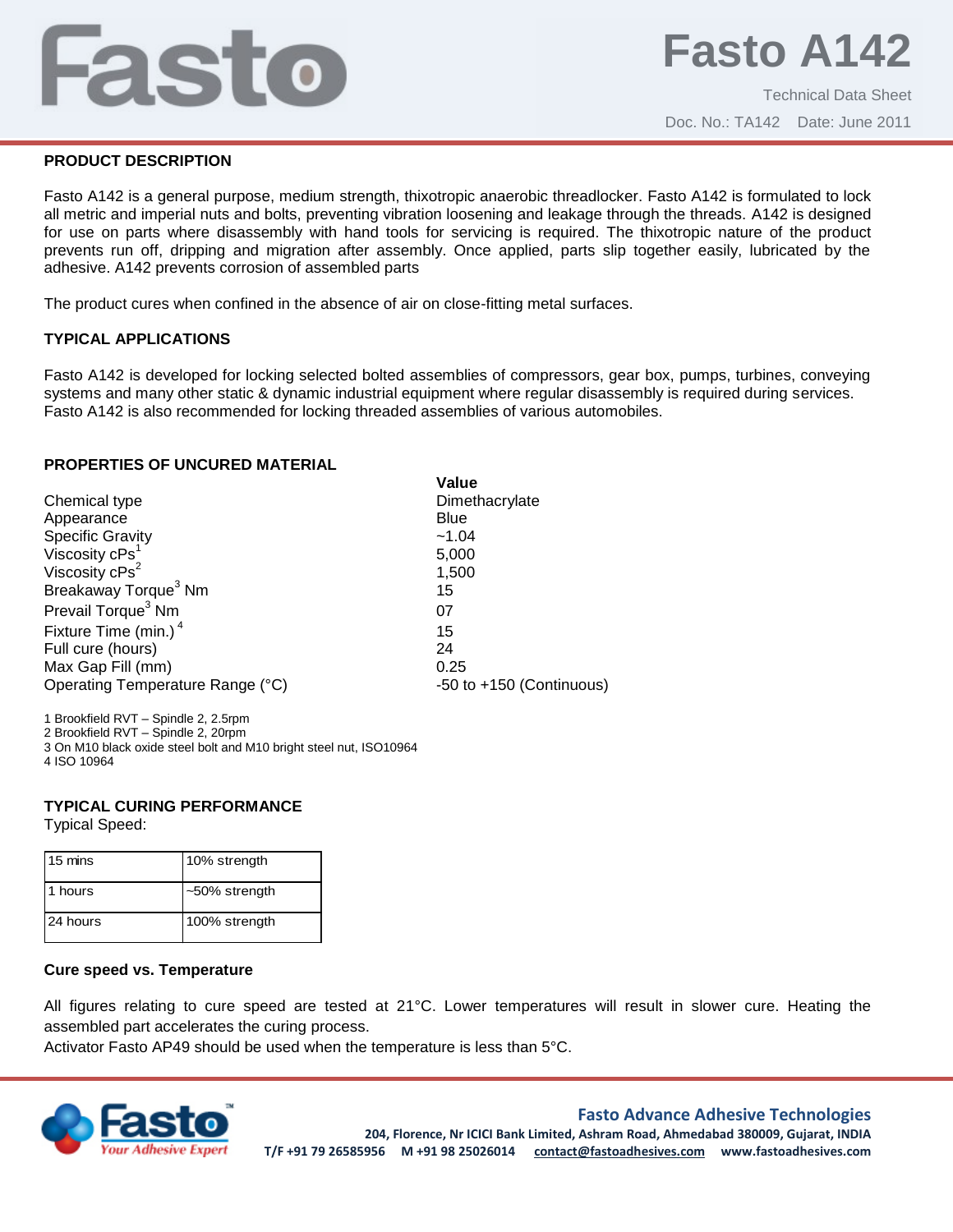# Fasto

Technical Data Sheet Doc. No.: TA142 Date: June 2011

# **PRODUCT DESCRIPTION**

Fasto A142 is a general purpose, medium strength, thixotropic anaerobic threadlocker. Fasto A142 is formulated to lock all metric and imperial nuts and bolts, preventing vibration loosening and leakage through the threads. A142 is designed for use on parts where disassembly with hand tools for servicing is required. The thixotropic nature of the product prevents run off, dripping and migration after assembly. Once applied, parts slip together easily, lubricated by the adhesive. A142 prevents corrosion of assembled parts

The product cures when confined in the absence of air on close-fitting metal surfaces.

# **TYPICAL APPLICATIONS**

Fasto A142 is developed for locking selected bolted assemblies of compressors, gear box, pumps, turbines, conveying systems and many other static & dynamic industrial equipment where regular disassembly is required during services. Fasto A142 is also recommended for locking threaded assemblies of various automobiles.

**Value**

## **PROPERTIES OF UNCURED MATERIAL**

|                                  | value                    |
|----------------------------------|--------------------------|
| Chemical type                    | Dimethacrylate           |
| Appearance                       | <b>Blue</b>              |
| <b>Specific Gravity</b>          | ~1.04                    |
| Viscosity cPs <sup>1</sup>       | 5,000                    |
| Viscosity cPs <sup>2</sup>       | 1,500                    |
| Breakaway Torque <sup>3</sup> Nm | 15                       |
| Prevail Torque <sup>3</sup> Nm   | 07                       |
| Fixture Time (min.) <sup>4</sup> | 15                       |
| Full cure (hours)                | 24                       |
| Max Gap Fill (mm)                | 0.25                     |
| Operating Temperature Range (°C) | -50 to +150 (Continuous) |
|                                  |                          |

1 Brookfield RVT – Spindle 2, 2.5rpm 2 Brookfield RVT – Spindle 2, 20rpm

3 On M10 black oxide steel bolt and M10 bright steel nut, ISO10964 4 ISO 10964

# **TYPICAL CURING PERFORMANCE**

Typical Speed:

| 15 mins  | 10% strength  |
|----------|---------------|
| 1 hours  | ~50% strength |
| 24 hours | 100% strength |

# **Cure speed vs. Temperature**

All figures relating to cure speed are tested at 21°C. Lower temperatures will result in slower cure. Heating the assembled part accelerates the curing process.

Activator Fasto AP49 should be used when the temperature is less than 5°C.



# **Fasto Advance Adhesive Technologies**

**204, Florence, Nr ICICI Bank Limited, Ashram Road, Ahmedabad 380009, Gujarat, INDIA T/F +91 79 26585956 M +91 98 25026014 contact@fastoadhesives.com www.fastoadhesives.com**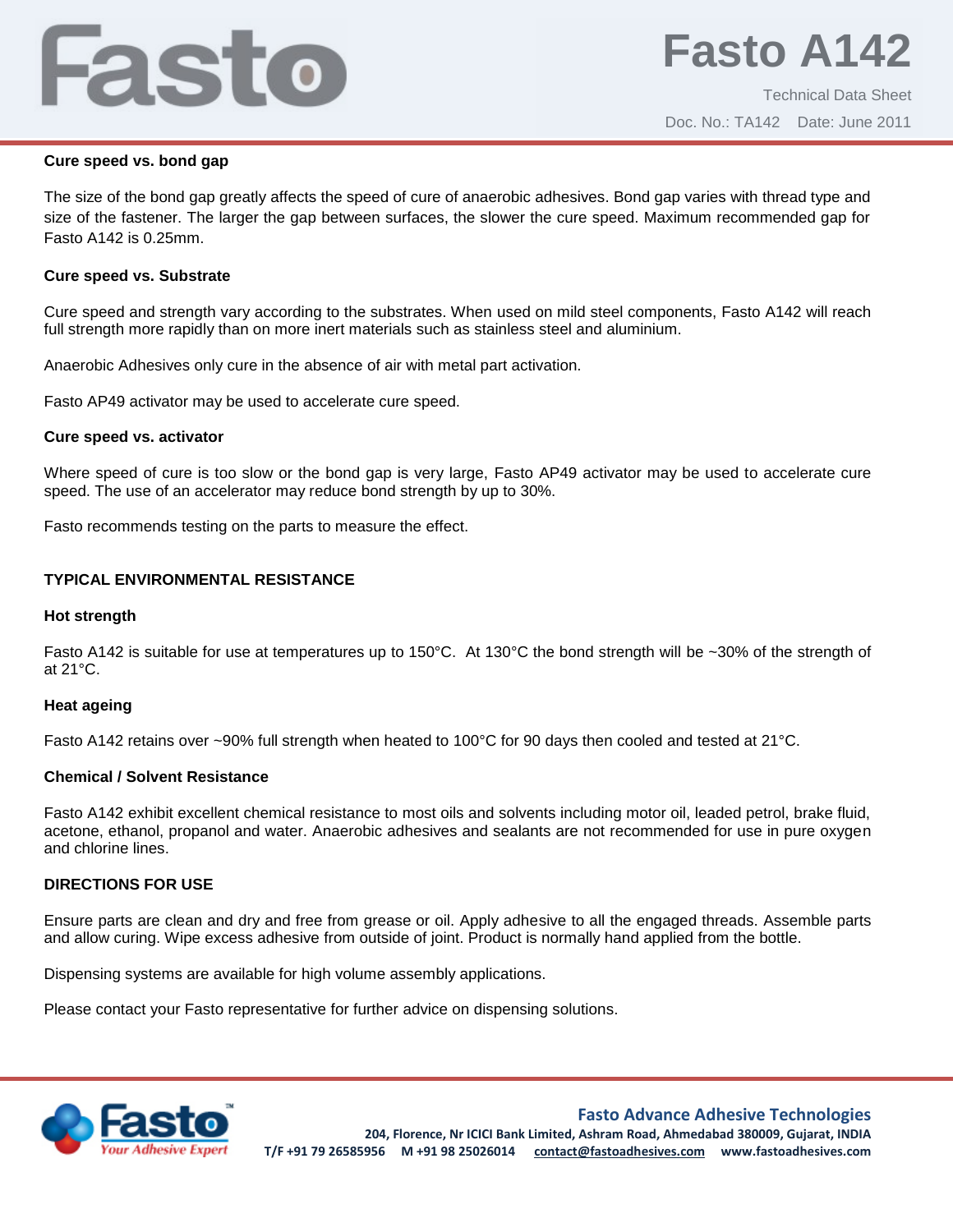# Fasto

#### **Cure speed vs. bond gap**

The size of the bond gap greatly affects the speed of cure of anaerobic adhesives. Bond gap varies with thread type and size of the fastener. The larger the gap between surfaces, the slower the cure speed. Maximum recommended gap for Fasto A142 is 0.25mm.

#### **Cure speed vs. Substrate**

Cure speed and strength vary according to the substrates. When used on mild steel components, Fasto A142 will reach full strength more rapidly than on more inert materials such as stainless steel and aluminium.

Anaerobic Adhesives only cure in the absence of air with metal part activation.

Fasto AP49 activator may be used to accelerate cure speed.

## **Cure speed vs. activator**

Where speed of cure is too slow or the bond gap is very large, Fasto AP49 activator may be used to accelerate cure speed. The use of an accelerator may reduce bond strength by up to 30%.

Fasto recommends testing on the parts to measure the effect.

# **TYPICAL ENVIRONMENTAL RESISTANCE**

#### **Hot strength**

Fasto A142 is suitable for use at temperatures up to 150°C. At 130°C the bond strength will be ~30% of the strength of at 21°C.

#### **Heat ageing**

Fasto A142 retains over ~90% full strength when heated to 100°C for 90 days then cooled and tested at 21°C.

# **Chemical / Solvent Resistance**

Fasto A142 exhibit excellent chemical resistance to most oils and solvents including motor oil, leaded petrol, brake fluid, acetone, ethanol, propanol and water. Anaerobic adhesives and sealants are not recommended for use in pure oxygen and chlorine lines.

# **DIRECTIONS FOR USE**

Ensure parts are clean and dry and free from grease or oil. Apply adhesive to all the engaged threads. Assemble parts and allow curing. Wipe excess adhesive from outside of joint. Product is normally hand applied from the bottle.

Dispensing systems are available for high volume assembly applications.

Please contact your Fasto representative for further advice on dispensing solutions.



# **Fasto Advance Adhesive Technologies**

**204, Florence, Nr ICICI Bank Limited, Ashram Road, Ahmedabad 380009, Gujarat, INDIA T/F +91 79 26585956 M +91 98 25026014 contact@fastoadhesives.com www.fastoadhesives.com**